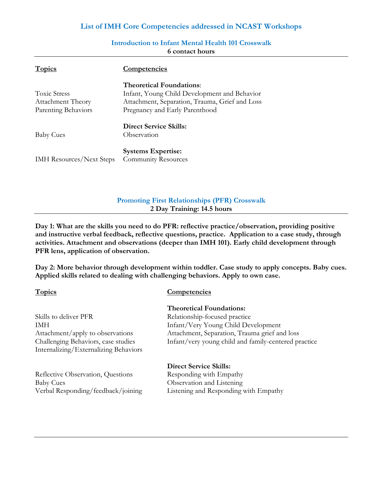### **List of IMH Core Competencies addressed in NCAST Workshops**

| <b>Topics</b>                   | <b>Competencies</b>                            |
|---------------------------------|------------------------------------------------|
|                                 | <b>Theoretical Foundations:</b>                |
| <b>Toxic Stress</b>             | Infant, Young Child Development and Behavior   |
| <b>Attachment Theory</b>        | Attachment, Separation, Trauma, Grief and Loss |
| Parenting Behaviors             | Pregnancy and Early Parenthood                 |
|                                 | <b>Direct Service Skills:</b>                  |
| <b>Baby Cues</b>                | Observation                                    |
|                                 | <b>Systems Expertise:</b>                      |
| <b>IMH</b> Resources/Next Steps | <b>Community Resources</b>                     |

### **Introduction to Infant Mental Health 101 Crosswalk 6 contact hours**

### **Promoting First Relationships (PFR) Crosswalk 2 Day Training: 14.5 hours**

**Day 1: What are the skills you need to do PFR: reflective practice/observation, providing positive and instructive verbal feedback, reflective questions, practice. Application to a case study, through activities. Attachment and observations (deeper than IMH 101). Early child development through PFR lens, application of observation.**

**Day 2: More behavior through development within toddler. Case study to apply concepts. Baby cues. Applied skills related to dealing with challenging behaviors. Apply to own case.**

### **Topics Competencies**

# Skills to deliver PFR Relationship-focused practice Internalizing/Externalizing Behaviors

Reflective Observation, Questions Responding with Empathy Baby Cues Observation and Listening

## **Theoretical Foundations:**

IMH Infant/Very Young Child Development Attachment/apply to observations Attachment, Separation, Trauma grief and loss Challenging Behaviors, case studies Infant/very young child and family-centered practice

# **Direct Service Skills:** Verbal Responding/feedback/joining Listening and Responding with Empathy